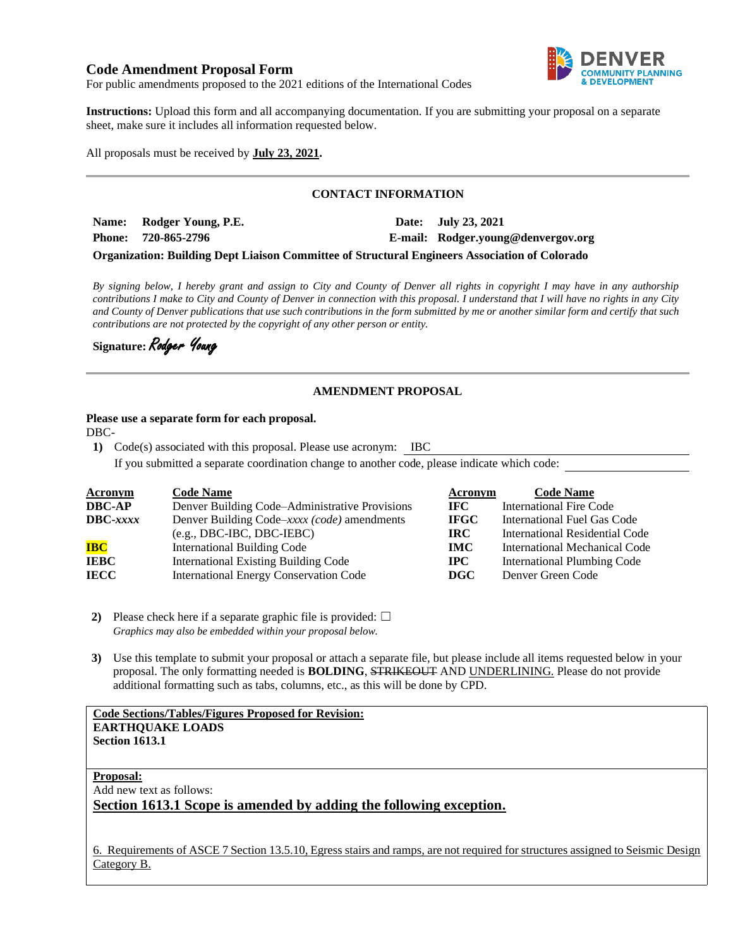# **Code Amendment Proposal Form**



For public amendments proposed to the 2021 editions of the International Codes

**Instructions:** Upload this form and all accompanying documentation. If you are submitting your proposal on a separate sheet, make sure it includes all information requested below.

All proposals must be received by **July 23, 2021.**

# **CONTACT INFORMATION**

**Name: Rodger Young, P.E. Date: July 23, 2021 Phone: 720-865-2796 E-mail: Rodger.young@denvergov.org**

**Organization: Building Dept Liaison Committee of Structural Engineers Association of Colorado**

*By signing below, I hereby grant and assign to City and County of Denver all rights in copyright I may have in any authorship contributions I make to City and County of Denver in connection with this proposal. I understand that I will have no rights in any City and County of Denver publications that use such contributions in the form submitted by me or another similar form and certify that such contributions are not protected by the copyright of any other person or entity.* 

**Signature:** Rodger Young

## **AMENDMENT PROPOSAL**

### **Please use a separate form for each proposal.**

DBC-

**1)** Code(s) associated with this proposal. Please use acronym: IBC

If you submitted a separate coordination change to another code, please indicate which code:

| <b>Acronym</b>    | <b>Code Name</b>                               | Acronym     | <b>Code Name</b>               |
|-------------------|------------------------------------------------|-------------|--------------------------------|
| <b>DBC-AP</b>     | Denver Building Code–Administrative Provisions | IFC.        | <b>International Fire Code</b> |
| $\text{DBC-}xxxx$ | Denver Building Code–xxxx (code) amendments    | <b>IFGC</b> | International Fuel Gas Code    |
|                   | $(e.g., DBC-IBC, DBC-IEBC)$                    | <b>IRC</b>  | International Residential Code |
| <b>IBC</b>        | <b>International Building Code</b>             | <b>IMC</b>  | International Mechanical Code  |
| <b>IEBC</b>       | <b>International Existing Building Code</b>    | $\bf IPC$   | International Plumbing Code    |
| <b>IECC</b>       | <b>International Energy Conservation Code</b>  | DGC         | Denver Green Code              |

**2)** Please check here if a separate graphic file is provided:  $\Box$ *Graphics may also be embedded within your proposal below.*

**3)** Use this template to submit your proposal or attach a separate file, but please include all items requested below in your proposal. The only formatting needed is **BOLDING**, STRIKEOUT AND UNDERLINING. Please do not provide additional formatting such as tabs, columns, etc., as this will be done by CPD.

## **Code Sections/Tables/Figures Proposed for Revision: EARTHQUAKE LOADS Section 1613.1**

**Proposal:** Add new text as follows: **Section 1613.1 Scope is amended by adding the following exception.** 

6. Requirements of ASCE 7 Section 13.5.10, Egress stairs and ramps, are not required for structures assigned to Seismic Design Category B.